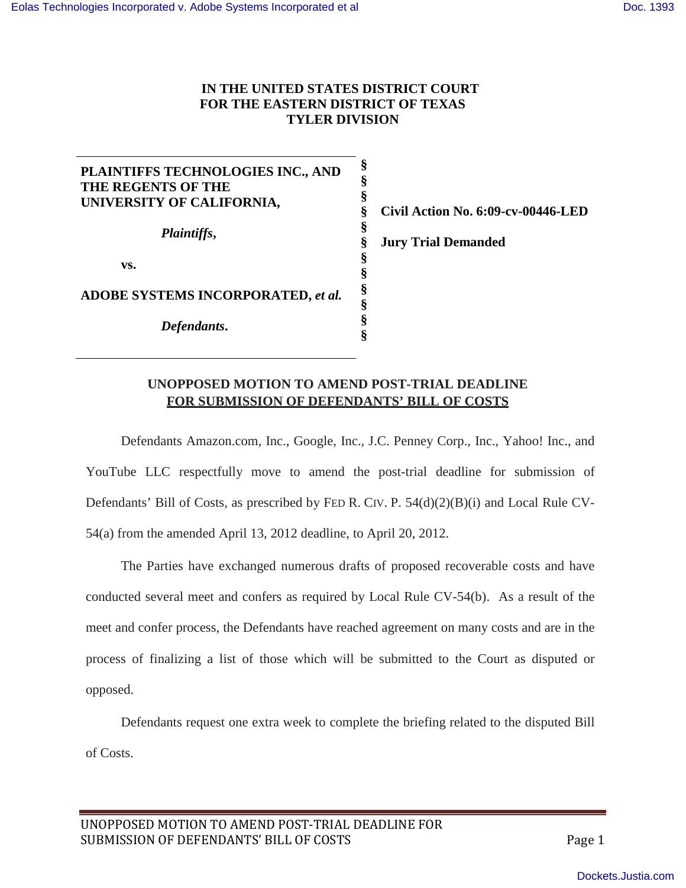## **IN THE UNITED STATES DISTRICT COURT FOR THE EASTERN DISTRICT OF TEXAS TYLER DIVISION**

**PLAINTIFFS TECHNOLOGIES INC., AND THE REGENTS OF THE UNIVERSITY OF CALIFORNIA,** *Plaintiffs***, vs. ADOBE SYSTEMS INCORPORATED,** *et al. Defendants***. § § § § § § § § § § § §**

**Civil Action No. 6:09-cv-00446-LED**

**Jury Trial Demanded**

## **UNOPPOSED MOTION TO AMEND POST-TRIAL DEADLINE FOR SUBMISSION OF DEFENDANTS' BILL OF COSTS**

Defendants Amazon.com, Inc., Google, Inc., J.C. Penney Corp., Inc., Yahoo! Inc., and YouTube LLC respectfully move to amend the post-trial deadline for submission of Defendants' Bill of Costs, as prescribed by FED R. CIV. P. 54(d)(2)(B)(i) and Local Rule CV-54(a) from the amended April 13, 2012 deadline, to April 20, 2012.

The Parties have exchanged numerous drafts of proposed recoverable costs and have conducted several meet and confers as required by Local Rule CV-54(b). As a result of the meet and confer process, the Defendants have reached agreement on many costs and are in the process of finalizing a list of those which will be submitted to the Court as disputed or opposed.

Defendants request one extra week to complete the briefing related to the disputed Bill of Costs.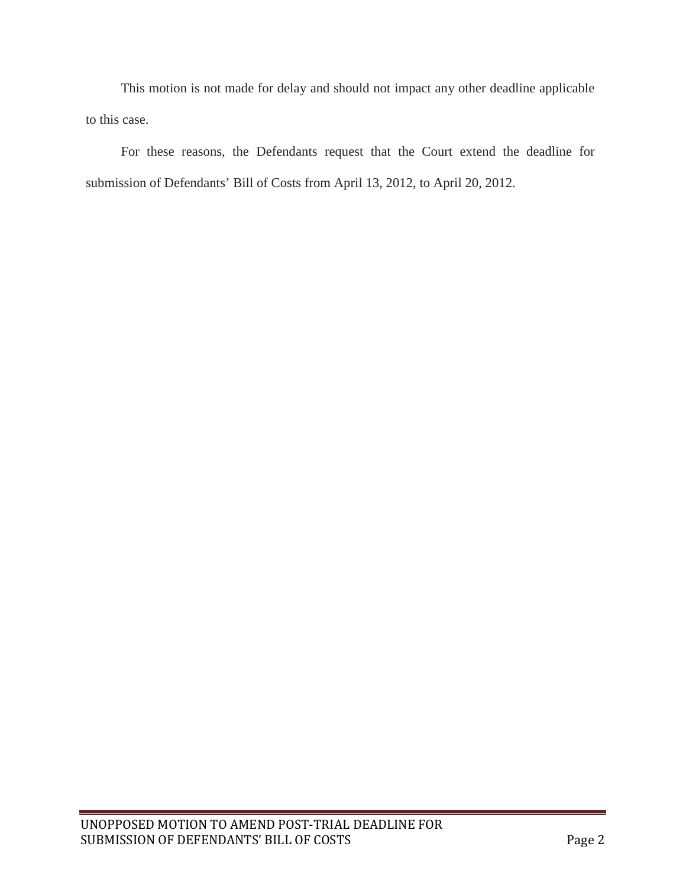This motion is not made for delay and should not impact any other deadline applicable to this case.

For these reasons, the Defendants request that the Court extend the deadline for submission of Defendants' Bill of Costs from April 13, 2012, to April 20, 2012.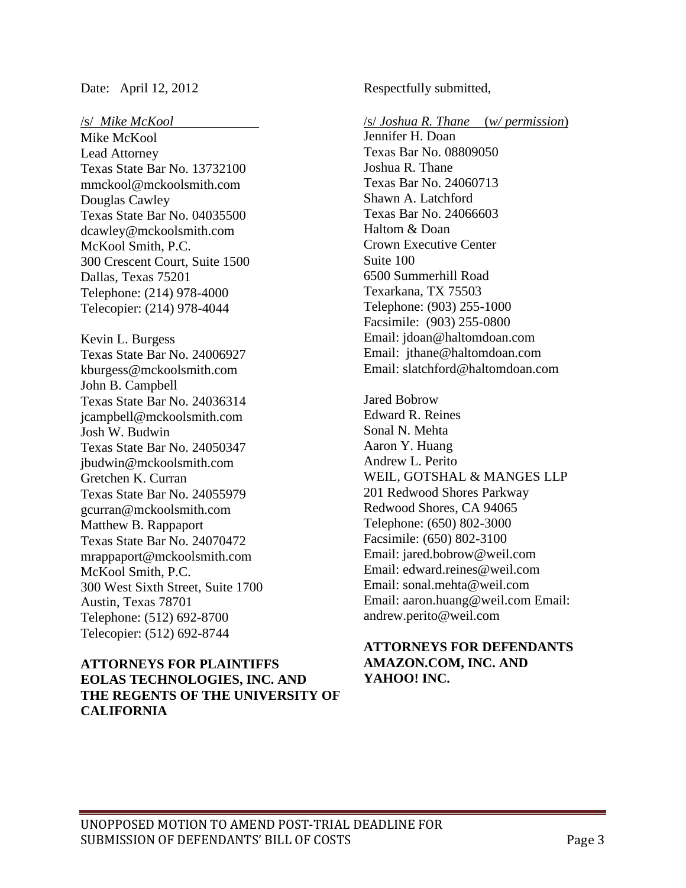#### /s/ *Mike McKool*

Mike McKool Lead Attorney Texas State Bar No. 1373210[0](mailto:mmckool@mckoolsmith.com) [mmckool@mckoolsmith.com](mailto:mmckool@mckoolsmith.com) Douglas Cawley Texas State Bar No. 0403550[0](mailto:dcawley@mckoolsmith.com) [dcawley@mckoolsmith.com](mailto:dcawley@mckoolsmith.com) McKool Smith, P.C. 300 Crescent Court, Suite 1500 Dallas, Texas 75201 Telephone: (214) 978-4000 Telecopier: (214) 978-4044

Kevin L. Burgess Texas State Bar No. 2400692[7](mailto:kburgess@mckoolsmith.com) [kburgess@mckoolsmith.com](mailto:kburgess@mckoolsmith.com) John B. Campbell Texas State Bar No. 2403631[4](mailto:jcampbell@mckoolsmith.com) [jcampbell@mckoolsmith.com](mailto:jcampbell@mckoolsmith.com) Josh W. Budwin Texas State Bar No. 2405034[7](mailto:jbudwin@mckoolsmith.com) [jbudwin@mckoolsmith.com](mailto:jbudwin@mckoolsmith.com) Gretchen K. Curran Texas State Bar No. 2405597[9](mailto:gcurran@mckoolsmith.com) [gcurran@mckoolsmith.com](mailto:gcurran@mckoolsmith.com) Matthew B. Rappaport Texas State Bar No. 2407047[2](mailto:mrappaport@mckoolsmith.com) [mrappaport@mckoolsmith.com](mailto:mrappaport@mckoolsmith.com) McKool Smith, P.C. 300 West Sixth Street, Suite 1700 Austin, Texas 78701 Telephone: (512) 692-8700 Telecopier: (512) 692-8744

### **ATTORNEYS FOR PLAINTIFFS EOLAS TECHNOLOGIES, INC. AND THE REGENTS OF THE UNIVERSITY OF CALIFORNIA**

Date: April 12, 2012 Respectfully submitted,

/s/ *Joshua R. Thane* (*w/ permission*)

Jennifer H. Doan Texas Bar No. 08809050 Joshua R. Thane Texas Bar No. 24060713 Shawn A. Latchford Texas Bar No. 24066603 Haltom & Doan Crown Executive Center Suite 100 6500 Summerhill Road Texarkana, TX 75503 Telephone: (903) 255-1000 Facsimile: (903) 255-0800 Email: [jdoan@haltomdoan.com](mailto:jdoan@haltomdoan.com) E[mail: jthane@haltomdoan.com](mailto:jthane@haltomdoan.com) E[mail: slatchford@haltomdoan.com](mailto:slatchford@haltomdoan.com)

Jared Bobrow Edward R. Reines Sonal N. Mehta Aaron Y. Huang Andrew L. Perito WEIL, GOTSHAL & MANGES LLP 201 Redwood Shores Parkway Redwood Shores, CA 94065 Telephone: (650) 802-3000 Facsimile: (650) 802-3100 E[mail: jared.bobrow@weil.com](mailto:jared.bobrow@weil.com) E[mail: edward.reines@weil.com](mailto:edward.reines@weil.com) E[mail: sonal.mehta@weil.com](mailto:sonal.mehta@weil.com) E[mail: aaron.huang@weil.com](mailto:aaron.huang@weil.com) E[mail:](mailto:andrew.perito@weil.com)  [andrew.perito@weil.com](mailto:andrew.perito@weil.com)

## **ATTORNEYS FOR DEFENDANTS AMAZON.COM, INC. AND YAHOO! INC.**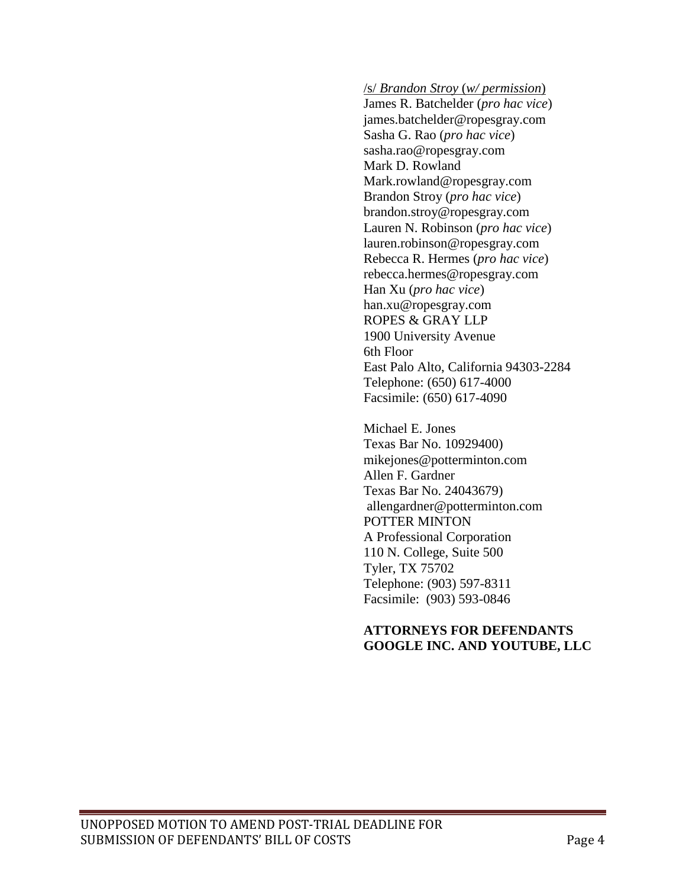/s/ *Brandon Stroy* (*w/ permission*)

James R. Batchelder (*pro hac vice*) [james.batchelder@ropesgray.com](mailto:james.batchelder@ropesgray.com) Sasha G. Rao (*pro hac vice*) [sasha.rao@ropesgray.com](mailto:sasha.rao@ropesgray.com) Mark D. Rowland [Mark.rowland@ropesgray.com](mailto:ark.rowland@ropesgray.com) Brandon Stroy (*pro hac vice*) [brandon.stroy@ropesgray.com](mailto:brandon.stroy@ropesgray.com) Lauren N. Robinson (*pro hac vice*) [lauren.robinson@ropesgray.com](mailto:lauren.robinson@ropesgray.com) Rebecca R. Hermes (*pro hac vice*) [rebecca.hermes@ropesgray.com](mailto:rebecca.hermes@ropesgray.com) Han Xu (*pro hac vice*) [han.xu@ropesgray.com](mailto:han.xu@ropesgray.com) ROPES & GRAY LLP 1900 University Avenue 6th Floor East Palo Alto, California 94303-2284 Telephone: (650) 617-4000 Facsimile: (650) 617-4090

Michael E. Jones Texas Bar No. 10929400) [mikejones@potterminton.com](mailto:mikejones@potterminton.com) Allen F. Gardner Texas Bar No. 24043679) [allengardner@potterminton.com](mailto:allengardner@potterminton.com) POTTER MINTON A Professional Corporation 110 N. College, Suite 500 Tyler, TX 75702 Telephone: (903) 597-8311 Facsimile: (903) 593-0846

#### **ATTORNEYS FOR DEFENDANTS GOOGLE INC. AND YOUTUBE, LLC**